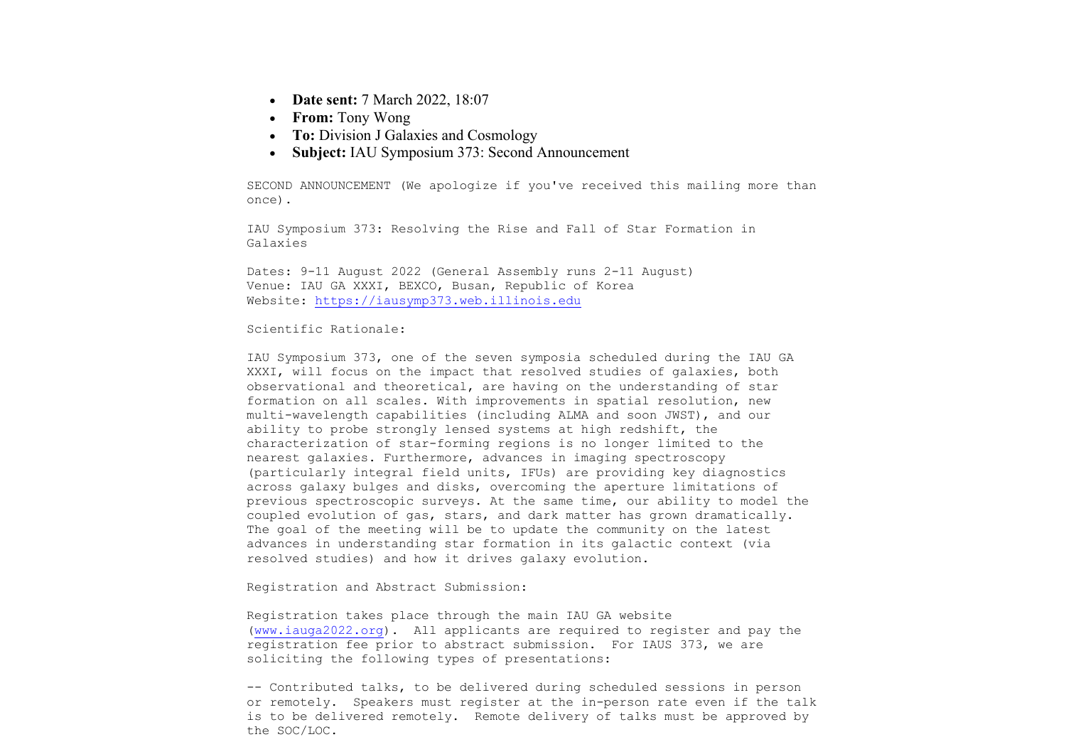- **Date sent:** 7 March 2022, 18:07
- **From:** Tony Wong
- **To:** Division J Galaxies and Cosmology
- **Subject:** IAU Symposium 373: Second Announcement

SECOND ANNOUNCEMENT (We apologize if you've received this mailing more than once).

IAU Symposium 373: Resolving the Rise and Fall of Star Formation in Galaxies

Dates: 9-11 August 2022 (General Assembly runs 2-11 August) Venue: IAU GA XXXI, BEXCO, Busan, Republic of Korea Website: https://iausymp373.web.illinois.edu

## Scientific Rationale:

IAU Symposium 373, one of the seven symposia scheduled during the IAU GA XXXI, will focus on the impact that resolved studies of galaxies, both observational and theoretical, are having on the understanding of star formation on all scales. With improvements in spatial resolution, new multi-wavelength capabilities (including ALMA and soon JWST), and our ability to probe strongly lensed systems at high redshift, the characterization of star-forming regions is no longer limited to the nearest galaxies. Furthermore, advances in imaging spectroscopy (particularly integral field units, IFUs) are providing key diagnostics across galaxy bulges and disks, overcoming the aperture limitations of previous spectroscopic surveys. At the same time, our ability to model the coupled evolution of gas, stars, and dark matter has grown dramatically. The goal of the meeting will be to update the community on the latest advances in understanding star formation in its galactic context (via resolved studies) and how it drives galaxy evolution.

Registration and Abstract Submission:

Registration takes place through the main IAU GA website (www.iauga2022.org). All applicants are required to register and pay the registration fee prior to abstract submission. For IAUS 373, we are soliciting the following types of presentations:

-- Contributed talks, to be delivered during scheduled sessions in person or remotely. Speakers must register at the in-person rate even if the talk is to be delivered remotely. Remote delivery of talks must be approved by the SOC/LOC.